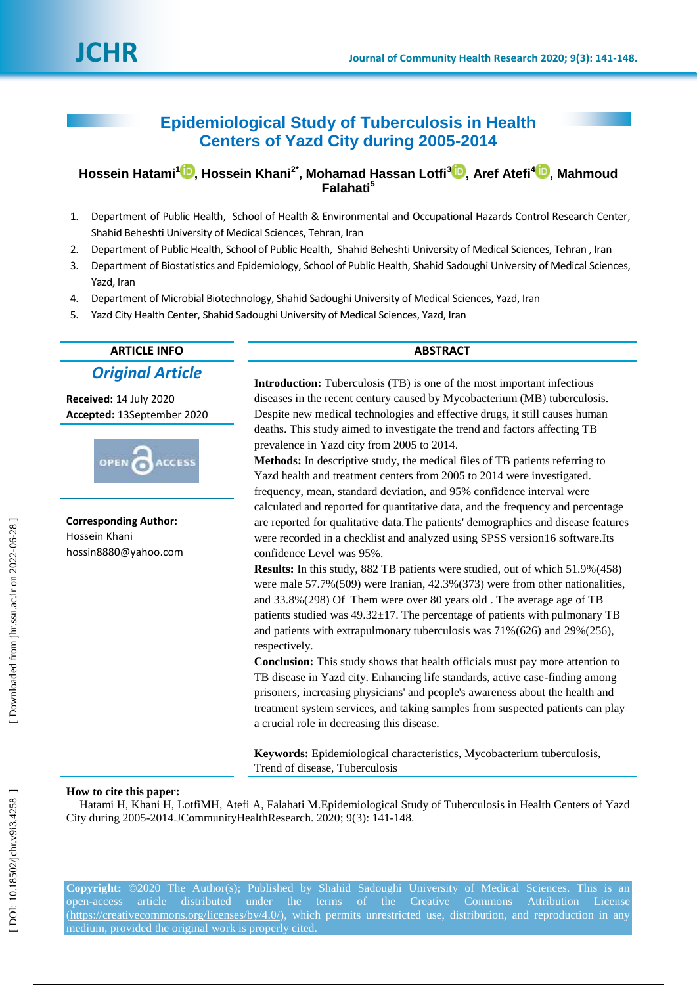# **Epidemiological Study of Tuberculosis in Health Centers of Yazd City during 2005 -2014**

**Hossein Hatami [1](https://orcid.org/0000-0002-1448-3598) , Hossein Khani 2 \* , Mohamad Hassan Lotfi 3 [,](https://orcid.org/0000-0003-1358-4984) Aref Atefi 4 [,](https://orcid.org/0000-0001-9606-6781) Mahmoud Falahati 5**

- 1 . Department of Public Health, School of Health & Environmental and Occupational Hazards Control Research Center, Shahid [Beheshti](https://www.google.com/url?sa=t&rct=j&q=&esrc=s&source=web&cd=1&cad=rja&uact=8&ved=0ahUKEwib0JGVpLjWAhVCPFAKHV_jDdoQFggkMAA&url=http%3A%2F%2Fwww.sbu.ac.ir%2F&usg=AFQjCNEUs9YJ9khh7ZsHLJVeNSsu-OZITA) University of Medical Sciences, Tehran, Iran
- 2 . Department of Public Health, School of Public Health, Shahid Beheshti University of Medical Sciences, Tehran , Iran
- 3 . Department of Biostatistics and Epidemiology, School of Public Health, Shahid Sadoughi University of Medical Sciences, Yazd, Iran
- 4 . Department of Microbial Biotechnology, Shahid Sadoughi University of Medical Sciences, Yazd, Iran
- 5 . Yazd City Health Center, Shahid Sadoughi University of Medical Sciences, Yazd, Iran

# **ARTICLE INFO ABSTRACT** *Original Article*

**Received:** 14 July 2020 **Accepted:** 1 3September 2020



**Corresponding Author:** Hossein Khani hossin8880@yahoo.com

**Introduction :** Tuberculosis (TB) is one of the most important infectious diseases in the recent century caused by Mycobacterium (MB) tuberculosis. Despite new medical technologies and effective drugs, it still causes human deaths. This study aimed to investigate the trend and factors affecting TB prevalence in Yazd city from 2005 to 2014.

**Methods:** In descriptive study, the medical files of TB patients referring to Yazd health and treatment centers from 2005 to 2014 were investigated. frequency, mean, standard deviation, and 95% confidence interval were calculated and reported for quantitative data, and the frequency and percentage are reported for qualitative data.The patients' demographics and disease features were recorded in a checklist and analyzed using SPSS version16 software.Its confidence Level was 95% .

**Results:** In this study, 882 TB patients were studied, out of which 51.9%(458) were male 57.7%(509) were Iranian, 42.3%(373) were from other nationalities, and 33.8%(298) Of Them were over 80 years old . The average age of TB patients studied was 49.32±17. The percentage of patients with pulmonary TB and patients with extrapulmonary tuberculosis was 71%(626) and 29% (256), respectively.

**Conclusion:** This study shows that health officials must pay more attention to TB disease in Yazd city. Enhancing life standards, active case -finding among prisoners, increasing physicians' and people's awareness about the health and treatment system services, and taking samples from suspected patients can play a crucial role in decreasing this disease.

**Keywords:** Epidemiological characteristics, Mycobacterium tuberculosis, Trend of disease, Tuberculosis

#### **How to cite this paper:**

Hatami H, Khani H, LotfiMH, Atefi A, Falahati M.Epidemiological Study of Tuberculosis in Health Centers of Yazd City during 2005-2014.JCommunityHealthResearch. 2020; 9(3): 141-148.

**Copyright:** ©2020 The Author(s); Published by Shahid Sadoughi University of Medical Sciences. This is an open-access article distributed under the terms of the Creative Commons Attribution License [\(https://creativecommons.org/licenses/by/4.0/\)](https://creativecommons.org/licenses/by/4.0/), which permits unrestricted use, distribution, and reproduction in any medium, provided the original work is properly cited.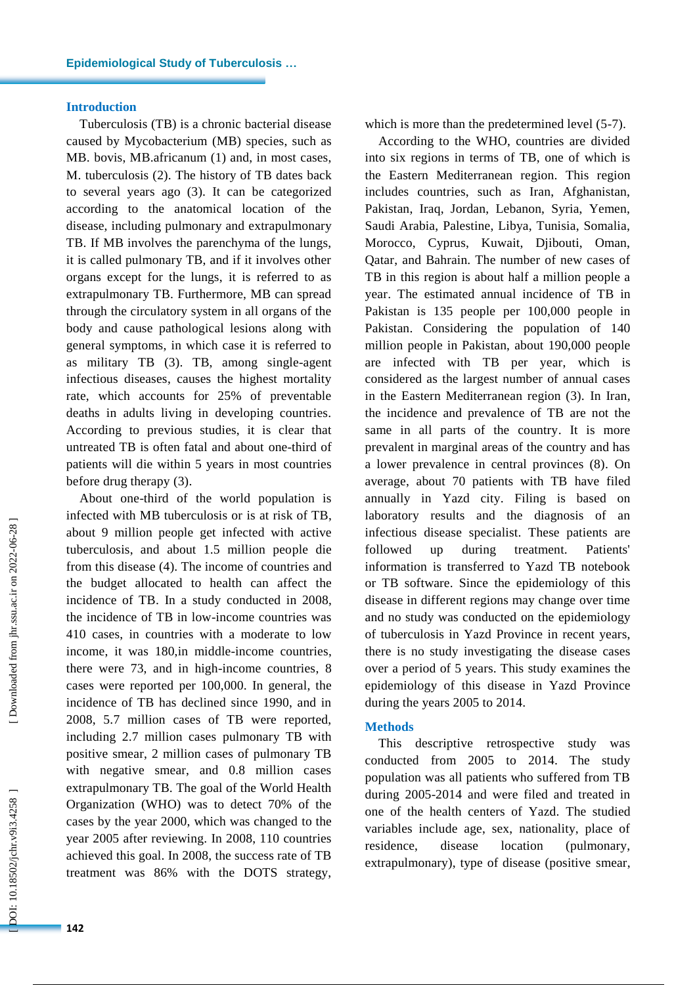#### **Introduction**

Tuberculosis (TB) is a chronic bacterial disease caused by Mycobacterium (M B ) species , such as MB. bovis, MB. africanum (1) and, in most cases, M . tuberculosis (2). The history of TB dates back to several years ago (3). It can be categorized according to the anatomical location of the disease, including pulmonary and extrapulmonary TB . If MB involves the parenchyma of the lungs, it is called pulmonary TB, and if it involves other organs except for the lungs, it is referred to as extrapulmonary TB. Furthermore, MB can spread through the circulatory system in all organs of the body and cause pathological lesions along with general symptoms, in which case it is referred to as military TB (3). TB , among single -agent infectious diseases , causes the highest mortality rate, which accounts for 25% of preventable deaths in adults living in developing countries. According to previous studies, it is clear that untreated TB is often fatal and about one -third of patients will die within 5 years in most countries before drug therapy (3).

About one -third of the world population is infected with MB tuberculosis or is at risk of TB, about 9 million people get infected with active tuberculosis, and about 1.5 million people die from this disease (4). The income of countries and the budget allocated to health can affect the incidence of TB. In a study conducted in 2008, the incidence of TB in low -income countries was 410 cases, in countries with a moderate to low income, it was 180,in middle -income countries, there were 73, and in high -income countries , 8 cases were reported per 100,000. In general, the incidence of TB has declined since 1990, and in 2008, 5.7 million cases of TB were reported, including 2.7 million cases pulmonary TB with positive smear, 2 million cases of pulmonary TB with negative smear, and 0.8 million cases extrapulmonary TB. The goal of the World Health Organization (WHO) was to detect 70% of the cases by the year 2000, which was changed to the year 2005 after reviewing. In 2008, 110 countries achieved this goal. In 2008, the success rate of TB treatment was 86% with the DOTS strategy,

which is more than the predetermined level (5-7).

According to the WHO, countries are divided into six regions in terms of TB, one of which is the Eastern Mediterranean region. This region includes countries, such as Iran, Afghanistan, Pakistan, Iraq, Jordan, Lebanon, Syria, Yemen, Saudi Arabia, Palestine, Libya, Tunisia, Somalia, Morocco, Cyprus, Kuwait, Djibouti, Oman, Qatar , and Bahrain. The number of new cases of TB in this region is about half a million people a year. The estimated annual incidence of TB in Pakistan is 135 people per 100,000 people in Pakistan. Considering the population of 140 million people in Pakistan, about 190,000 people are infected with TB per year, which is considered as the largest number of annual cases in the Eastern Mediterranean region (3). In Iran, the incidence and prevalence of TB are not the same in all parts of the country. It is more prevalent in marginal areas of the country and has a lower prevalence in central provinces (8). On average, about 70 patients with TB have filed annually in Yazd city. Filing is based on laboratory results and the diagnosis of an infectious disease specialist . These patients are followed up during treatment. Patients' information is transferred to Yazd TB notebook or TB software. Since the epidemiology of this disease in different regions may change over time and no study was conducted on the epidemiology of tuberculosis in Yazd Province in recent years, there is no study investigating the disease cases over a period of 5 years. This study examines the epidemiology of this disease in Yazd Province during the years 2005 to 2014.

# **Methods**

This descriptive retrospective study was conducted from 2005 to 2014. The study population was all patients who suffered from TB during 2005 -2014 and were filed and treated in one of the health centers of Yazd. The studied variables include age, sex, nationality, place of residence, disease location (pulmonary, extrapulmonary), type of disease (positive smear,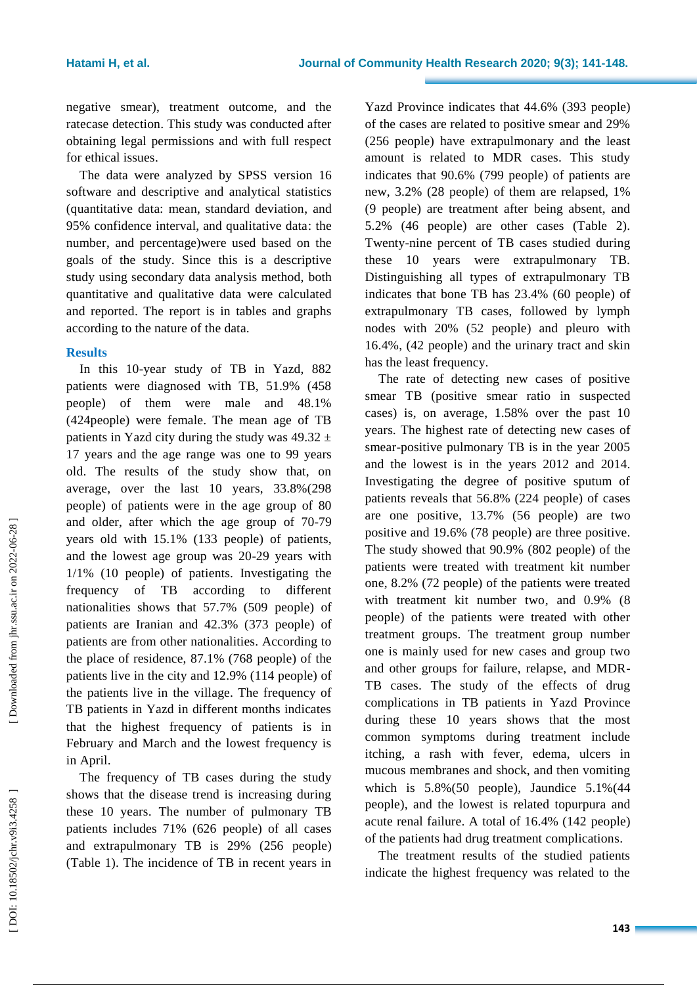negative smear), treatment outcome, and the ratecase detection. This study was conducted after obtaining legal permissions and with full respect for ethical issues.

The data were analyzed by SPSS version 16 software and descriptive and analytical statistics (quantitative data: mean, standard deviation , and 95% confidence interval, and qualitative data : the number , and percentage)were used based on the goals of the study. Since this is a descriptive study using secondary data analysis method, both quantitative and qualitative data were calculated and reported. The report is in tables and graphs according to the nature of the data.

## **Results**

In this 10 -year study of TB in Yazd, 882 patients were diagnosed with TB, 51.9% (458 pe ople) of them were male and 48.1% (424pe ople) were female. The mean age of TB patients in Yazd city during the study was  $49.32 \pm$ 17 years and the age range was one to 99 years old. The results of the study show that, on average, over the last 10 years, 33.8%(298 pe ople) of patients were in the age group of 80 and older, after which the age group of 70 -79 years old with 15.1% (133 people) of patients, and the lowest age group was 20 -29 years with 1/1% (10 pe ople) of patients. Investigating the frequency of TB according to different nationalities shows that 57.7% (509 pe ople) of patients are Iranian and 42.3% (373 pe ople) of patients are from other nationalities. According to the place of residence, 87.1% (768 pe ople) of the patients live in the city and 12.9% (114 pe ople) of the patients live in the village. The frequency of TB patients in Yazd in different months indicates that the highest frequency of patients is in February and March and the lowest frequency is in April.

The frequency of TB cases during the study shows that the disease trend is increasing during these 10 years. The number of pulmonary TB patients includes 71% (626 people) of all cases and extrapulmonary TB is 29% (256 people) (Table 1). The incidence of TB in recent years in Yazd Province indicates that 44.6% (393 people) of the cases are related to positive smear and 29% (256 people) have extrapulmonary and the least amount is related to MDR cases. This study indicates that 90.6% (799 people) of patients are new, 3.2% (28 people) of them are relapse d, 1% (9 people) are treatment after being absent, and 5.2% (46 people) are other cases (Table 2). Twenty - nine percent of TB cases studied during these 10 years were extrapulmonary TB. Distinguishing all types of extrapulmonary TB indicates that bone TB has 23.4% (60 people) of extrapulmonary TB cases, followed by lymph nodes with 20% (52 people) and pleuro with 16.4%, (42 people) and the urinary tract and skin has the least frequency.

The rate of detecting new cases of positive smear TB (positive smear ratio in suspected cases) is, on average, 1.58% over the past 10 years. The highest rate of detecting new cases of smear -positive pulmonary TB is in the year 2005 and the lowest is in the years 2012 and 2014. Investigating the degree of positive sputum of patients reveals that 56.8% (224 people) of cases are one positive, 13.7% (56 people) are two positive and 19.6% (78 people) are three positive. The study showed that 90.9% (802 people) of the patients were treated with treatment kit number one, 8.2% (72 people) of the patients were treated with treatment kit number two, and 0.9% (8 people) of the patients were treated with other treatment groups. The treatment group number one is mainly used for new cases and group two and other groups for failure, relapse, and MDR - TB cases. The study of the effects of drug complications in TB patients in Yazd Province during these 10 years shows that the most common symptoms during treatment include itching, a rash with fever, edema, ulcers in mucous membranes and shock, and then vomiting which is 5.8%(50 people), Jaundice 5.1%(44 people ) , and the lowest is related topurpura and acute renal failure. A total of 16.4% (142 people) of the patients had drug treatment complication s .

The treatment results of the studied patients indicate the highest frequency was related to the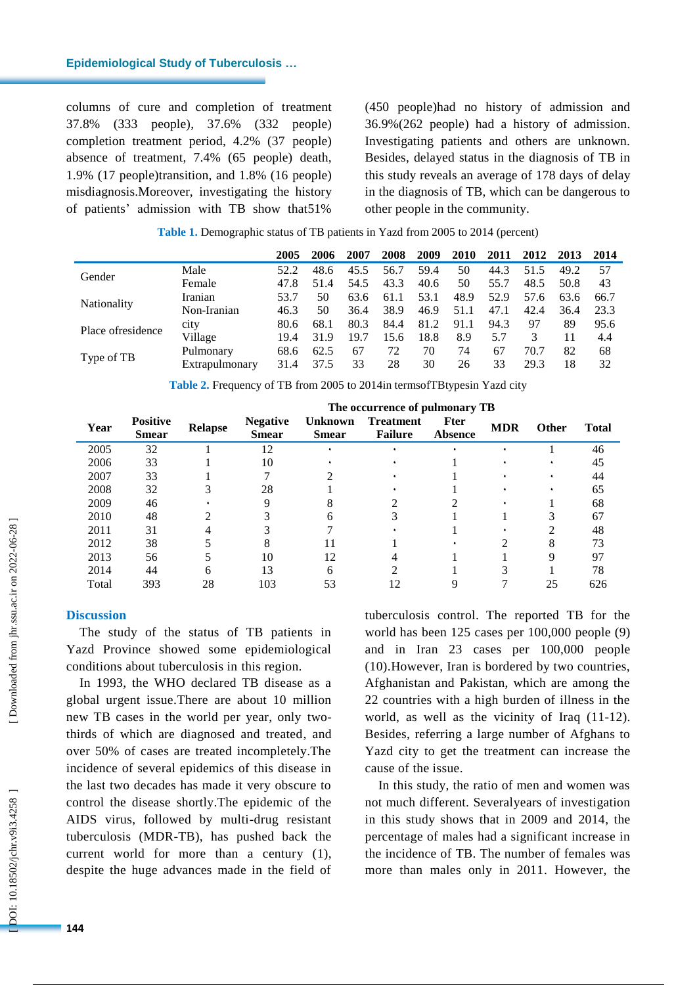#### **Epidemiological Study of Tuberculosis …**

columns of cure and completion of treatment 37.8% (333 people), 37.6% (332 people) completion treatment period, 4.2% (37 people) absence of treatment, 7.4% (65 people) death, 1.9% (17 people )transition, and 1.8% (16 people) misdiagnosis.Moreover, investigating the history of patients' admission with TB show that51%

(450 people)had no history of admission and 36.9%(262 people) had a history of admission. Investigating patients and others are unknown. Besides, delayed status in the diagnosis of TB in this study reveals an average of 178 days of delay in the diagnosis of TB, which can be dangerous to other people in the community.

|                    |                | 2005 | 2006 | 2007 | 2008 | 2009 | 2010 | 2011 | 2012 | 2013 | 2014 |
|--------------------|----------------|------|------|------|------|------|------|------|------|------|------|
|                    |                |      |      |      |      |      |      |      |      |      |      |
| Gender             | Male           | 52.2 | 48.6 | 45.5 | 56.7 | 59.4 | 50   | 44.3 | 51.5 | 49.2 | 57   |
|                    | Female         | 47.8 | 51.4 | 54.5 | 43.3 | 40.6 | 50   | 55.7 | 48.5 | 50.8 | 43   |
| <b>Nationality</b> | Iranian        | 53.7 | 50   | 63.6 | 61.1 | 53.1 | 48.9 | 52.9 | 57.6 | 63.6 | 66.7 |
|                    | Non-Iranian    | 46.3 | 50   | 36.4 | 38.9 | 46.9 | 51.1 | 47.1 | 42.4 | 36.4 | 23.3 |
| Place of residence | city           | 80.6 | 68.1 | 80.3 | 84.4 | 81.2 | 91.1 | 94.3 | 97   | 89   | 95.6 |
|                    | Village        | 19.4 | 31.9 | 19.7 | 15.6 | 18.8 | 8.9  | 5.7  |      | 11   | 4.4  |
|                    | Pulmonary      | 68.6 | 62.5 | 67   | 72   | 70   | 74   | 67   | 70.7 | 82   | 68   |
| Type of TB         | Extrapulmonary | 31.4 | 37.5 | 33   | 28   | 30   | 26   | 33   | 29.3 | 18   | 32   |

**Table 1 .** Demographic status of TB patients in Yazd from 2005 to 2014 (percent)

**Table 2 .** Frequency of TB from 2005 to 2014in termsofTBtypesin Yazd city

|       |                                 |                | The occurrence of pulmonary TB  |                                |                                    |                               |            |              |              |  |  |  |
|-------|---------------------------------|----------------|---------------------------------|--------------------------------|------------------------------------|-------------------------------|------------|--------------|--------------|--|--|--|
| Year  | <b>Positive</b><br><b>Smear</b> | <b>Relapse</b> | <b>Negative</b><br><b>Smear</b> | <b>Unknown</b><br><b>Smear</b> | <b>Treatment</b><br><b>Failure</b> | <b>Fter</b><br><b>Absence</b> | <b>MDR</b> | <b>Other</b> | <b>Total</b> |  |  |  |
| 2005  | 32                              |                | 12                              |                                |                                    |                               |            |              | 46           |  |  |  |
| 2006  | 33                              |                | 10                              |                                |                                    |                               |            |              | 45           |  |  |  |
| 2007  | 33                              |                |                                 |                                |                                    |                               |            |              | 44           |  |  |  |
| 2008  | 32                              |                | 28                              |                                |                                    |                               |            |              | 65           |  |  |  |
| 2009  | 46                              |                |                                 |                                |                                    |                               |            |              | 68           |  |  |  |
| 2010  | 48                              |                |                                 |                                |                                    |                               |            |              | 67           |  |  |  |
| 2011  | 31                              |                |                                 |                                |                                    |                               |            |              | 48           |  |  |  |
| 2012  | 38                              |                |                                 |                                |                                    |                               |            |              | 73           |  |  |  |
| 2013  | 56                              |                | 10                              | 12                             |                                    |                               |            | Q            | 97           |  |  |  |
| 2014  | 44                              | 6              | 13                              | 6                              |                                    |                               |            |              | 78           |  |  |  |
| Total | 393                             | 28             | 103                             | 53                             |                                    |                               |            | 25           | 626          |  |  |  |

#### **Discussion**

The study of the status of TB patients in Yazd Province showed some epidemiological conditions about tuberculosis in this region.

In 1993, the WHO declared TB disease as a global urgent issue.There are about 10 million new TB cases in the world per year, only two thirds of which are diagnosed and treated , and over 50% of cases are treated incompletely.The incidence of several epidemics of this disease in the last two decades has made it very obscure to control the disease shortly.The epidemic of the AIDS virus, followed by multi -drug resistant tuberculosis (MDR -TB), has pushed back the current world for more than a century ( 1), despite the huge advances made in the field of

tuberculosis control. The reported TB for the world has been 125 cases per 100,000 people ( 9) and in Iran 23 cases per 100,000 people (1 0).However, Iran is bordered by two countries, Afghanistan and Pakistan, which are among the 22 countries with a high burden of illness in the world, as well as the vicinity of Iraq (11-12). Besides, referring a large number of Afghans to Yazd city to get the treatment can increase the cause of the issue.

In this study, the ratio of men and women was not much different. Severalyears of investigation in this study shows that in 2009 and 2014, the percentage of males had a significant increase in the incidence of TB. The number of females was more than males only in 2011. However, the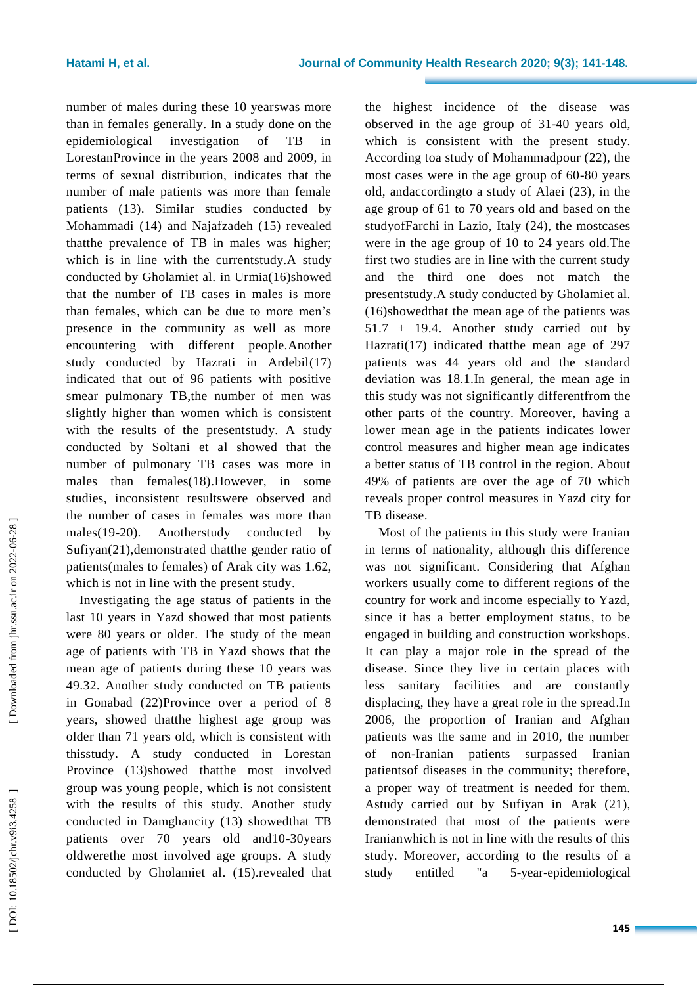number of males during these 10 yearswas more than in females generally. In a study done on the epidemiological investigation of TB in LorestanProvince in the years 2008 and 2009, in terms of sexual distribution, indicates that the number of male patients was more than female patients (1 3). Similar studies conducted by Mohammadi ( 1 4) and Najafzadeh ( 1 5 ) revealed thatthe prevalence of TB in males was higher; which is in line with the currentstudy. A study conducted by Gholamiet al. in Urmia(1 6)showed that the number of TB cases in males is more than females, which can be due to more men's presence in the community as well as more encountering with different people. Another study conducted by Hazrati in Ardebil(1 7 ) indicated that out of 96 patients with positive smear pulmonary TB,the number of men was slightly higher than women which is consistent with the results of the presentstudy. A study conducted by Soltani et a l showed that the number of pulmonary TB cases was more in males than females(18).However, in some studies, inconsistent resultswere observed and the number of cases in females was more than males(19-20). Anotherstudy conducted by Sufiyan (21 ) ,demonstrated thatthe gender ratio of patients (males to females) of Arak city was 1.62, which is not in line with the present study .

Investigating the age status of patients in the last 10 years in Yazd showed that most patients were 80 years or older. The study of the mean age of patients with TB in Yazd shows that the mean age of patients during these 10 years was 49. 32. Another study conducted on TB patients in Gonabad ( 2 2 )Province over a period of 8 years, showed thatthe highest age group was older than 71 years old, which is consistent with thisstudy. A study conducted in Lorestan Province (1 3)showed thatthe most involved group was young people, which is not consistent with the results of this study. Another study conducted in Damghancity ( 1 3) showedthat TB patients over 70 years old and10 -30years oldwerethe most involved age group s. A study conducted by Gholamiet al. (15).revealed that the highest incidence of the disease was observed in the age group of 31 -40 years old, which is consistent with the present study. According toa study of Mohammadpour ( 2 2 ), the most cases were in the age group of 60 -80 years old , andaccordingto a study of Alaei ( 2 3 ), in the age group of 61 to 70 years old and based on the studyofFarchi in Lazio, Italy ( 2 4 ), the mostcases were in the age group of 10 to 24 years old.The first two studies are in line with the current study and the third one does not match the presentstudy. A study conducted by Gholamiet al. (1 6)showedthat the mean age of the patients was  $51.7 \pm 19.4$ . Another study carried out by Hazrati(1 7 ) indicated thatthe mean age of 297 patients was 44 years old and the standard deviation was 18.1.In general, the mean age in this study was not significantly differentfrom the other parts of the country. Moreover, having a lower mean age in the patients indicates lower control measures and higher mean age indicates a better status of TB control in the region. About 49% of patients are over the age of 70 which reveal s proper control measures in Yazd city for TB disease.

Most of the patients in this study were Iranian in terms of nationality, although this difference was not significant. Considering that Afghan workers usually come to different regions of the country for work and income especially to Yazd, since it has a better employment status, to be engaged in building and construction workshops. It can play a major role in the spread of the disease. Since they live in certain places with less sanitary facilities and are constantly displacing, they have a great role in the spread.In 2006, the proportion of Iranian and Afghan patients was the same and in 2010, the number of non -Iranian patients surpassed Iranian patientsof diseases in the community; therefore, a proper way of treatment is needed for them. Astudy carried out by Sufiyan in Arak (21), demonstrated that most of the patients were Iranianwhich is not in line with the results of this study. Moreover, according to the results of a study entitled "a -year -epidemiological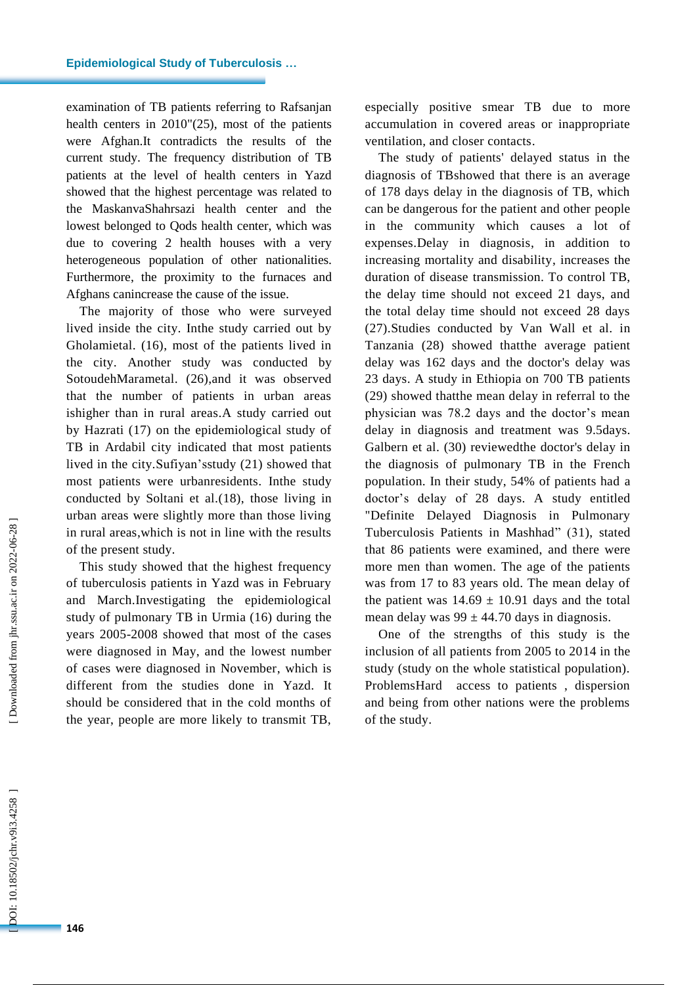examination of TB patients referring to Rafsanjan health centers in 2010"(2 5 ), most of the patients were Afghan.It contradicts the results of the current study. The frequency distribution of TB patients at the level of health centers in Yazd showed that the highest percentage was related to the Ma skanvaShahrsazi health center and the lowest belonged to Qods health center, which was due to covering 2 health houses with a very heterogeneous population of other nationalities. Furthermore, the proximity to the furnaces and Afghans canincrease the cause of the issue.

The majority of those who were surveyed lived inside the city. Inthe study carried out by Gholamietal . (1 6), most of the patients lived in the city . Another study was conducted by SotoudehMarametal. (26), and it was observed that the number of patients in urban areas ishigher than in rural areas . A study carried out by Hazrati ( 1 7 ) on the epidemiological study of TB in Ardabil city indicated that most patients lived in the city.Sufiyan'sstudy ( 2 1) showed that most patients were urba nresidents. Inthe study conducted by Soltani et al.(1 8 ), those living in urban areas were slightly more than those living in rural areas,which is not in line with the results of the present study.

This study showed that the highest frequency of tuberculosis patients in Yazd was in February and March.Investigating the epidemiological study of pulmonary TB in Urmia ( 1 6 ) during the years 2005 -2008 showed that most of the cases were diagnosed in May, and the lowest number of cases were diagnosed in November, which is different from the studies done in Yazd. It should be considered that in the cold months of the year, people are more likely to transmit TB,

especially positive smear TB due to more accumulation in covered areas or inappropriate ventilation, and closer contacts .

The study of patients' delayed status in the diagnosis of TBshowed that there is an average of 178 days delay in the diagnosis of TB, which can be dangerous for the patient and other people in the community which causes a lot of expenses.Delay in diagnosis , in addition to increasing mortality and disability , increases the duration of disease transmission. To control TB, the delay time should not exceed 21 days, and the total delay time should not exceed 28 days (27).Studies conducted by Van Wall et al. in Tanzania ( 2 8) showed thatthe average patient delay was 162 days and the doctor's delay was 23 days. A study in Ethiopia on 700 TB patients (29) showed thatthe mean delay in referral to the physician was 78.2 days and the doctor's mean delay in diagnosis and treatment was 9.5days. Galbern et al. ( 3 0) reviewedthe doctor's delay in the diagnosis of pulmonary TB in the French population. In their study, 54% of patients had a doctor's delay of 28 days. A study entitled "Definite Delayed Diagnosis in Pulmonary Tuberculosis Patients in Mashhad" (3 1 ), stated that 86 patients were examined, and there were more men than women. The age of the patients was from 17 to 83 years old. The mean delay of the patient was  $14.69 \pm 10.91$  days and the total mean delay was  $99 \pm 44.70$  days in diagnosis.

One of the strengths of this study is the inclusion of all patients from 2005 to 2014 in the study (study on the whole statistical population). ProblemsHard access to patients , dispersion and being from other nations were the problems of the study.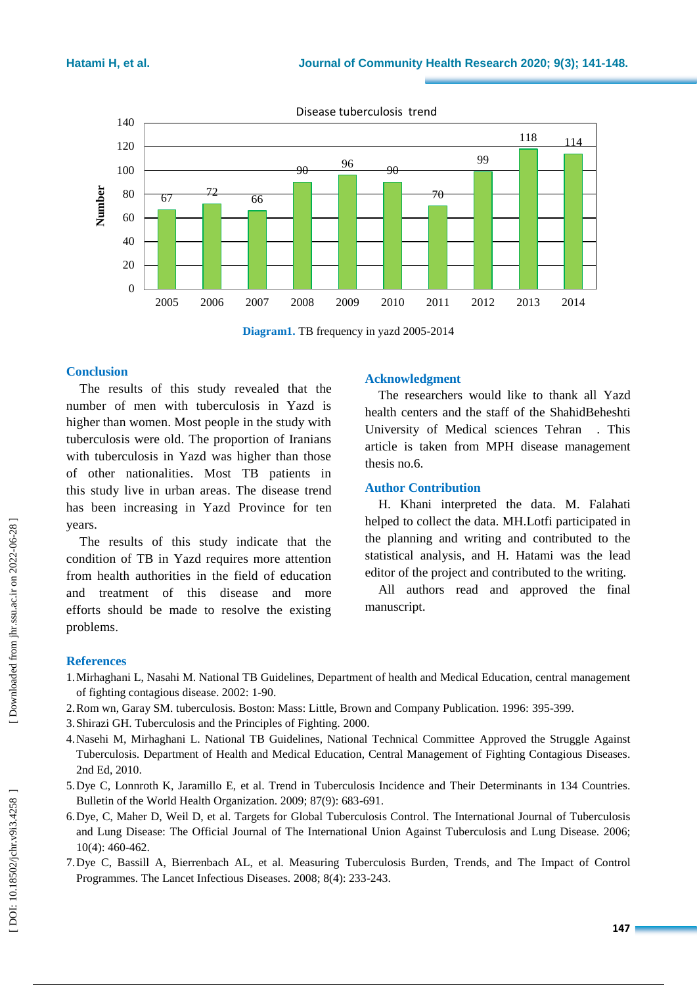

Disease tuberculosis trend

**Diagram1 .** TB frequency in yazd 2005 -2014

# **Conclusion**

The results of this study revealed that the number of men with tuberculosis in Yazd is higher than women. Most people in the study with tuberculosis were old. The proportion of Iranians with tuberculosis in Yazd was higher than those of other nationalities. Most TB patients in this study live in urban areas. The disease trend has been increasing in Yazd Province for ten years.

The results of this study indicate that the condition of TB in Yazd requires more attention from health authorities in the field of education and treatment of this disease and more efforts should be made to resolve the existing problems .

# **Acknowledgment**

The researchers would like to thank all Yazd health centers and the staff of the ShahidBeheshti University of Medical sciences Tehran . This article is taken from MPH disease management thesis no.6.

## **Author Contribution**

H. Khani interpreted the data. M. Falahati helped to collect the data. MH.Lotfi participated in the planning and writing and contributed to the statistical analysis, and H. Hatami was the lead editor of the project and contributed to the writing.

All authors read and approved the final manuscript.

# **References**

- 1.Mirhaghani L, Nasahi M. National TB Guidelines, Department of health and Medical Education, central management of fighting contagious disease. 2002: 1 -90 .
- 2.Rom wn, Garay SM. tuberculosis. Boston: Mass: Little, Brown and Company Publication. 1996: 395 -399.
- 3.Shirazi GH. Tuberculosis and the Principles of Fighting. 2000.
- 4.Nasehi M, Mirhaghani L. National TB Guidelines, National Technical Committee Approved the Struggle Against Tuberculosis. Department of Health and Medical Education, Central Management of Fighting Contagious Diseases . 2nd Ed, 2010.
- 5.Dye C, Lonnroth K, Jaramillo E, et al. Trend in Tuberculosis Incidence and Their Determinants in 134 Countries. Bulletin of the World Health Organization. 2009; 87(9): 683 -691.
- 6.Dye, C, Maher D, Weil D, et al. Targets for Global Tuberculosis Control. The International Journal of Tuberculosis and Lung Disease: The Official Journal of The International Union Against Tuberculosis and Lung Disease. 2006; 10(4): 460 -462.
- 7.Dye C, Bassill A, Bierrenbach AL, et al. Measuring Tuberculosis Burden, Trends, and The Impact of Control Programmes. The Lancet Infectious Diseases. 2008; 8(4): 233 -243.